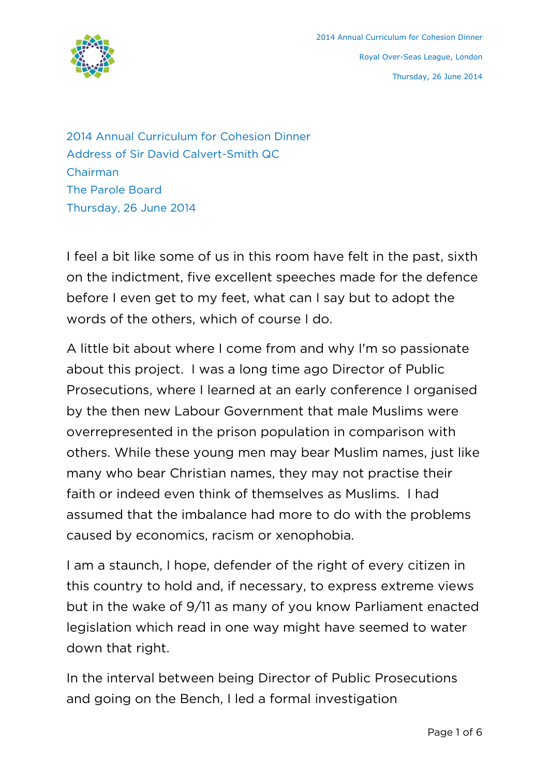

2014 Annual Curriculum for Cohesion Dinner Address of Sir David Calvert-Smith QC Chairman The Parole Board Thursday, 26 June 2014

I feel a bit like some of us in this room have felt in the past, sixth on the indictment, five excellent speeches made for the defence before I even get to my feet, what can I say but to adopt the words of the others, which of course I do.

A little bit about where I come from and why I'm so passionate about this project. I was a long time ago Director of Public Prosecutions, where I learned at an early conference I organised by the then new Labour Government that male Muslims were overrepresented in the prison population in comparison with others. While these young men may bear Muslim names, just like many who bear Christian names, they may not practise their faith or indeed even think of themselves as Muslims. I had assumed that the imbalance had more to do with the problems caused by economics, racism or xenophobia.

I am a staunch, I hope, defender of the right of every citizen in this country to hold and, if necessary, to express extreme views but in the wake of 9/11 as many of you know Parliament enacted legislation which read in one way might have seemed to water down that right.

In the interval between being Director of Public Prosecutions and going on the Bench, I led a formal investigation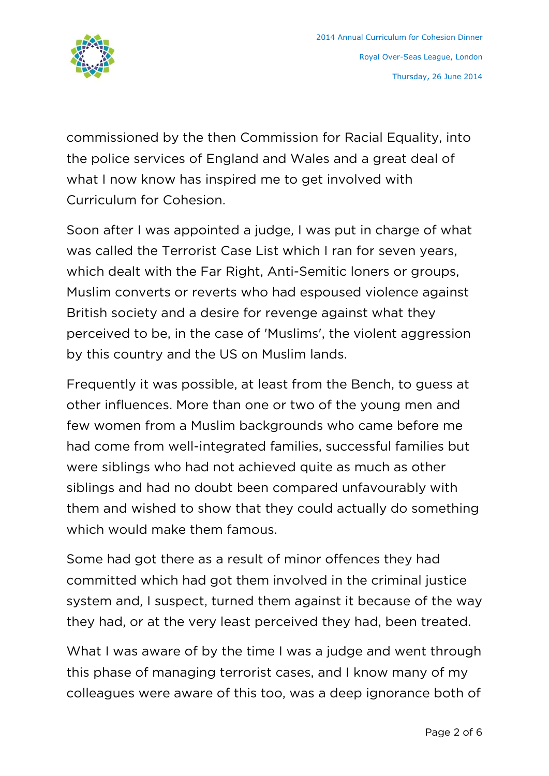

commissioned by the then Commission for Racial Equality, into the police services of England and Wales and a great deal of what I now know has inspired me to get involved with Curriculum for Cohesion.

Soon after I was appointed a judge, I was put in charge of what was called the Terrorist Case List which I ran for seven years, which dealt with the Far Right, Anti-Semitic loners or groups, Muslim converts or reverts who had espoused violence against British society and a desire for revenge against what they perceived to be, in the case of 'Muslims', the violent aggression by this country and the US on Muslim lands.

Frequently it was possible, at least from the Bench, to guess at other influences. More than one or two of the young men and few women from a Muslim backgrounds who came before me had come from well-integrated families, successful families but were siblings who had not achieved quite as much as other siblings and had no doubt been compared unfavourably with them and wished to show that they could actually do something which would make them famous.

Some had got there as a result of minor offences they had committed which had got them involved in the criminal justice system and, I suspect, turned them against it because of the way they had, or at the very least perceived they had, been treated.

What I was aware of by the time I was a judge and went through this phase of managing terrorist cases, and I know many of my colleagues were aware of this too, was a deep ignorance both of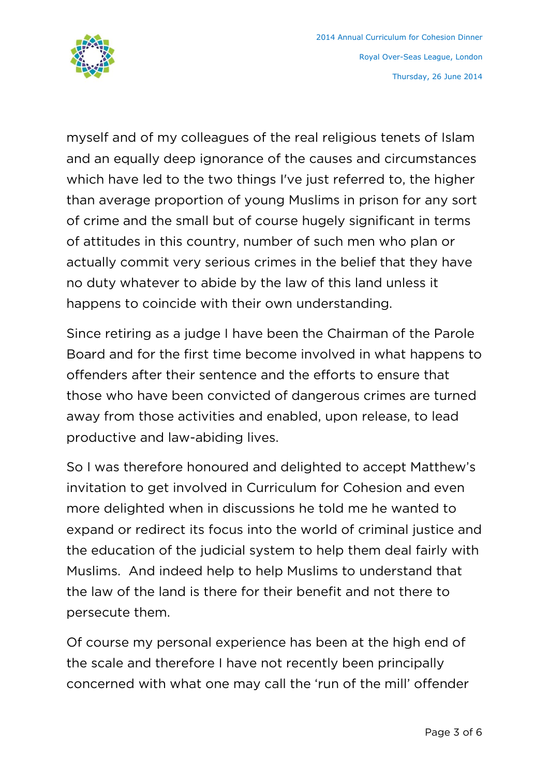

myself and of my colleagues of the real religious tenets of Islam and an equally deep ignorance of the causes and circumstances which have led to the two things I've just referred to, the higher than average proportion of young Muslims in prison for any sort of crime and the small but of course hugely significant in terms of attitudes in this country, number of such men who plan or actually commit very serious crimes in the belief that they have no duty whatever to abide by the law of this land unless it happens to coincide with their own understanding.

Since retiring as a judge I have been the Chairman of the Parole Board and for the first time become involved in what happens to offenders after their sentence and the efforts to ensure that those who have been convicted of dangerous crimes are turned away from those activities and enabled, upon release, to lead productive and law-abiding lives.

So I was therefore honoured and delighted to accept Matthew's invitation to get involved in Curriculum for Cohesion and even more delighted when in discussions he told me he wanted to expand or redirect its focus into the world of criminal justice and the education of the judicial system to help them deal fairly with Muslims. And indeed help to help Muslims to understand that the law of the land is there for their benefit and not there to persecute them.

Of course my personal experience has been at the high end of the scale and therefore I have not recently been principally concerned with what one may call the 'run of the mill' offender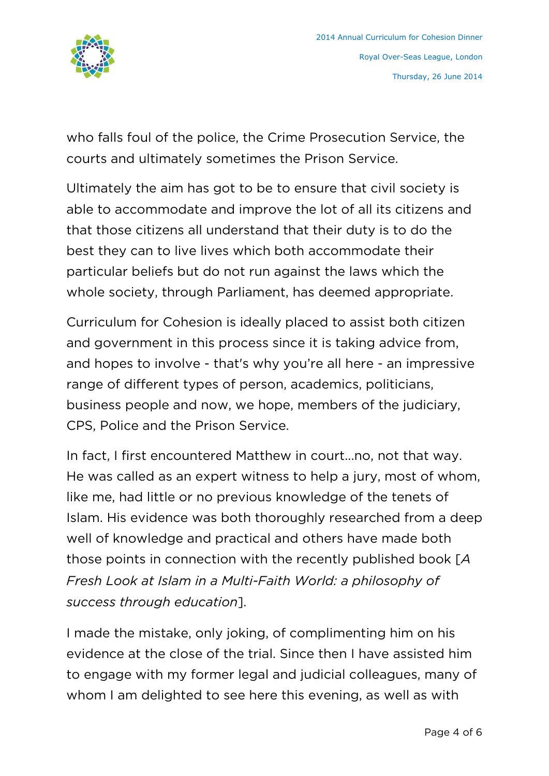

who falls foul of the police, the Crime Prosecution Service, the courts and ultimately sometimes the Prison Service.

Ultimately the aim has got to be to ensure that civil society is able to accommodate and improve the lot of all its citizens and that those citizens all understand that their duty is to do the best they can to live lives which both accommodate their particular beliefs but do not run against the laws which the whole society, through Parliament, has deemed appropriate.

Curriculum for Cohesion is ideally placed to assist both citizen and government in this process since it is taking advice from, and hopes to involve - that's why you're all here - an impressive range of different types of person, academics, politicians, business people and now, we hope, members of the judiciary, CPS, Police and the Prison Service.

In fact, I first encountered Matthew in court...no, not that way. He was called as an expert witness to help a jury, most of whom, like me, had little or no previous knowledge of the tenets of Islam. His evidence was both thoroughly researched from a deep well of knowledge and practical and others have made both those points in connection with the recently published book [*A Fresh Look at Islam in a Multi-Faith World: a philosophy of success through education*].

I made the mistake, only joking, of complimenting him on his evidence at the close of the trial. Since then I have assisted him to engage with my former legal and judicial colleagues, many of whom I am delighted to see here this evening, as well as with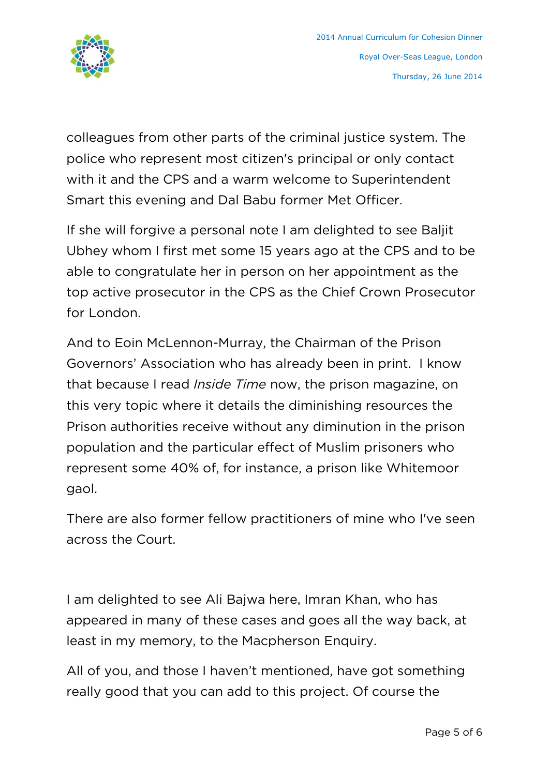

colleagues from other parts of the criminal justice system. The police who represent most citizen's principal or only contact with it and the CPS and a warm welcome to Superintendent Smart this evening and Dal Babu former Met Officer.

If she will forgive a personal note I am delighted to see Baljit Ubhey whom I first met some 15 years ago at the CPS and to be able to congratulate her in person on her appointment as the top active prosecutor in the CPS as the Chief Crown Prosecutor for London.

And to Eoin McLennon-Murray, the Chairman of the Prison Governors' Association who has already been in print. I know that because I read *Inside Time* now, the prison magazine, on this very topic where it details the diminishing resources the Prison authorities receive without any diminution in the prison population and the particular effect of Muslim prisoners who represent some 40% of, for instance, a prison like Whitemoor gaol.

There are also former fellow practitioners of mine who I've seen across the Court.

I am delighted to see Ali Bajwa here, Imran Khan, who has appeared in many of these cases and goes all the way back, at least in my memory, to the Macpherson Enquiry.

All of you, and those I haven't mentioned, have got something really good that you can add to this project. Of course the